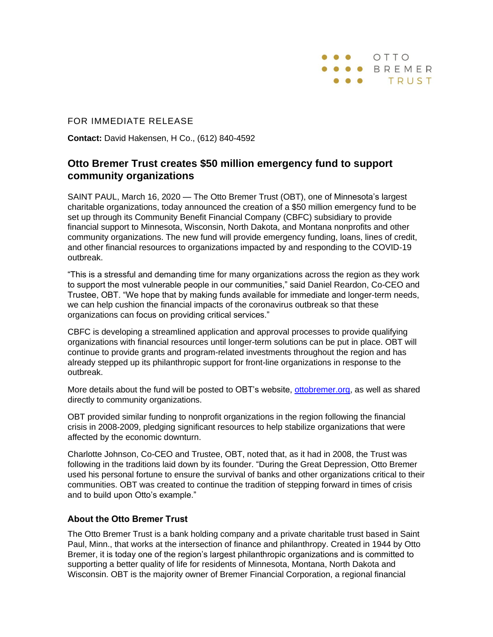

## FOR IMMEDIATE RELEASE

**Contact:** David Hakensen, H Co., (612) 840-4592

## **Otto Bremer Trust creates \$50 million emergency fund to support community organizations**

SAINT PAUL, March 16, 2020 — The Otto Bremer Trust (OBT), one of Minnesota's largest charitable organizations, today announced the creation of a \$50 million emergency fund to be set up through its Community Benefit Financial Company (CBFC) subsidiary to provide financial support to Minnesota, Wisconsin, North Dakota, and Montana nonprofits and other community organizations. The new fund will provide emergency funding, loans, lines of credit, and other financial resources to organizations impacted by and responding to the COVID-19 outbreak.

"This is a stressful and demanding time for many organizations across the region as they work to support the most vulnerable people in our communities," said Daniel Reardon, Co-CEO and Trustee, OBT. "We hope that by making funds available for immediate and longer-term needs, we can help cushion the financial impacts of the coronavirus outbreak so that these organizations can focus on providing critical services."

CBFC is developing a streamlined application and approval processes to provide qualifying organizations with financial resources until longer-term solutions can be put in place. OBT will continue to provide grants and program-related investments throughout the region and has already stepped up its philanthropic support for front-line organizations in response to the outbreak.

More details about the fund will be posted to OBT's website, [ottobremer.org,](https://ottobremer.org/) as well as shared directly to community organizations.

OBT provided similar funding to nonprofit organizations in the region following the financial crisis in 2008-2009, pledging significant resources to help stabilize organizations that were affected by the economic downturn.

Charlotte Johnson, Co-CEO and Trustee, OBT, noted that, as it had in 2008, the Trust was following in the traditions laid down by its founder. "During the Great Depression, Otto Bremer used his personal fortune to ensure the survival of banks and other organizations critical to their communities. OBT was created to continue the tradition of stepping forward in times of crisis and to build upon Otto's example."

## **About the Otto Bremer Trust**

The Otto Bremer Trust is a bank holding company and a private charitable trust based in Saint Paul, Minn., that works at the intersection of finance and philanthropy. Created in 1944 by Otto Bremer, it is today one of the region's largest philanthropic organizations and is committed to supporting a better quality of life for residents of Minnesota, Montana, North Dakota and Wisconsin. OBT is the majority owner of Bremer Financial Corporation, a regional financial